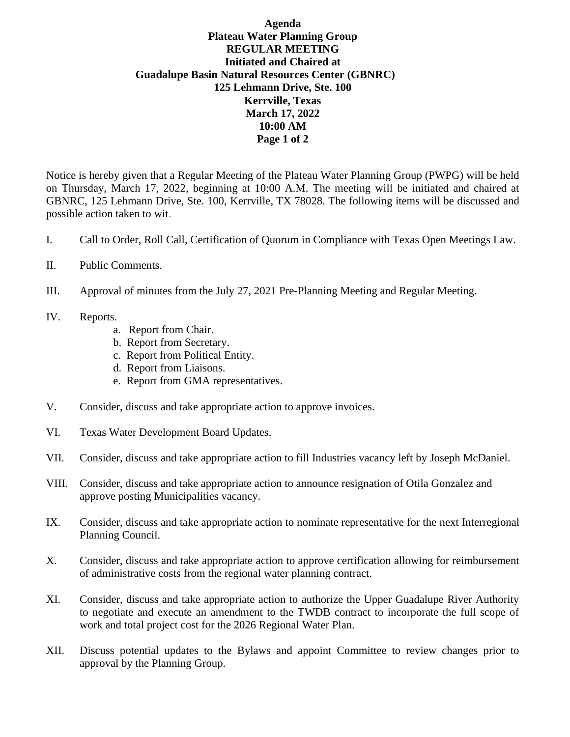## **Agenda Plateau Water Planning Group REGULAR MEETING Initiated and Chaired at Guadalupe Basin Natural Resources Center (GBNRC) 125 Lehmann Drive, Ste. 100 Kerrville, Texas March 17, 2022 10:00 AM Page 1 of 2**

Notice is hereby given that a Regular Meeting of the Plateau Water Planning Group (PWPG) will be held on Thursday, March 17, 2022, beginning at 10:00 A.M. The meeting will be initiated and chaired at GBNRC, 125 Lehmann Drive, Ste. 100, Kerrville, TX 78028. The following items will be discussed and possible action taken to wit.

- I. Call to Order, Roll Call, Certification of Quorum in Compliance with Texas Open Meetings Law.
- II. Public Comments.
- III. Approval of minutes from the July 27, 2021 Pre-Planning Meeting and Regular Meeting.
- IV. Reports.
	- a. Report from Chair.
	- b. Report from Secretary.
	- c. Report from Political Entity.
	- d. Report from Liaisons.
	- e. Report from GMA representatives.
- V. Consider, discuss and take appropriate action to approve invoices.
- VI. Texas Water Development Board Updates.
- VII. Consider, discuss and take appropriate action to fill Industries vacancy left by Joseph McDaniel.
- VIII. Consider, discuss and take appropriate action to announce resignation of Otila Gonzalez and approve posting Municipalities vacancy.
- IX. Consider, discuss and take appropriate action to nominate representative for the next Interregional Planning Council.
- X. Consider, discuss and take appropriate action to approve certification allowing for reimbursement of administrative costs from the regional water planning contract.
- XI. Consider, discuss and take appropriate action to authorize the Upper Guadalupe River Authority to negotiate and execute an amendment to the TWDB contract to incorporate the full scope of work and total project cost for the 2026 Regional Water Plan.
- XII. Discuss potential updates to the Bylaws and appoint Committee to review changes prior to approval by the Planning Group.